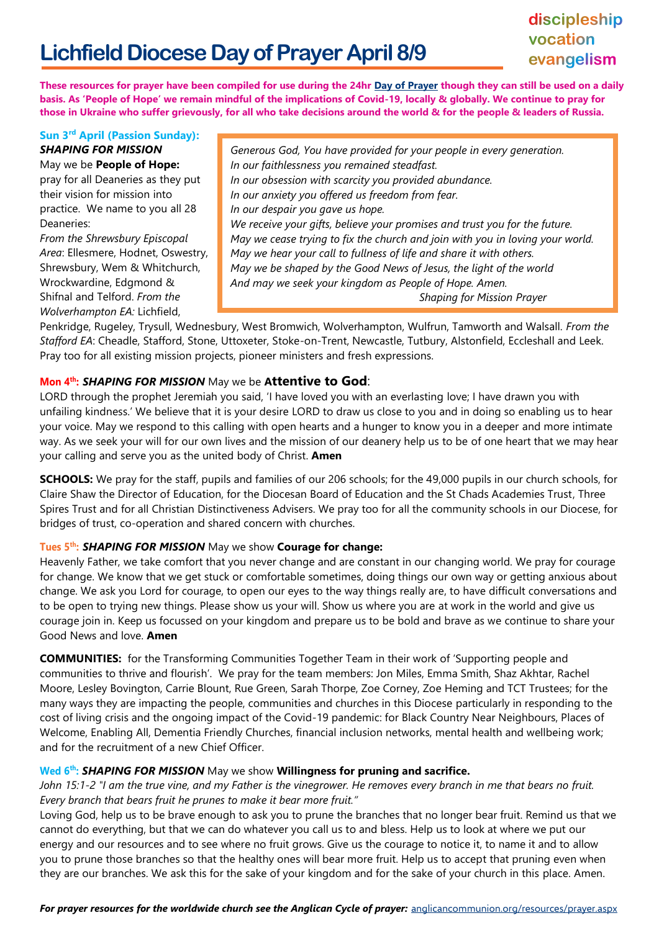# **Lichfield Diocese Day of Prayer April 8/9**

# discipleship vocation evangelism

**These resources for prayer have been compiled for use during the 24hr [Day of Prayer](https://www.lichfield.anglican.org/our-faith/diocesan-day-of-prayer/) though they can still be used on a daily basis. As 'People of Hope' we remain mindful of the implications of Covid-19, locally & globally. We continue to pray for those in Ukraine who suffer grievously, for all who take decisions around the world & for the people & leaders of Russia.** 

#### **Sun 3 rd April (Passion Sunday):**  *SHAPING FOR MISSION* May we be **People of Hope:**

pray for all Deaneries as they put their vision for mission into practice. We name to you all 28 Deaneries:

*From the Shrewsbury Episcopal Area*: Ellesmere, [Hodnet,](https://cms.cofeportal.org/places/38970) Oswestry, Shrewsbury, Wem & [Whitchurch,](https://cms.cofeportal.org/places/38989) Wrockwardine, [Edgmond &](https://cms.cofeportal.org/places/38968)  [Shifnal](https://cms.cofeportal.org/places/38968) and Telford. *From the Wolverhampton EA:* Lichfield,

*Generous God, You have provided for your people in every generation. In our faithlessness you remained steadfast. In our obsession with scarcity you provided abundance. In our anxiety you offered us freedom from fear. In our despair you gave us hope. We receive your gifts, believe your promises and trust you for the future. May we cease trying to fix the church and join with you in loving your world. May we hear your call to fullness of life and share it with others. May we be shaped by the Good News of Jesus, the light of the world And may we seek your kingdom as People of Hope. Amen. Shaping for Mission Prayer*

Penkridge, Rugeley, Trysull, Wednesbury, West Bromwich, Wolverhampton, Wulfrun, Tamworth and Walsall. *From the Stafford EA*: Cheadle, Stafford, Stone, Uttoxeter, Stoke-on-Trent, Newcastle, Tutbury, Alstonfield, Eccleshall and Leek. Pray too for all existing mission projects, pioneer ministers and fresh expressions.

# **Mon 4 th:** *SHAPING FOR MISSION* May we be **Attentive to God**:

LORD through the prophet Jeremiah you said, 'I have loved you with an everlasting love; I have drawn you with unfailing kindness.' We believe that it is your desire LORD to draw us close to you and in doing so enabling us to hear your voice. May we respond to this calling with open hearts and a hunger to know you in a deeper and more intimate way. As we seek your will for our own lives and the mission of our deanery help us to be of one heart that we may hear your calling and serve you as the united body of Christ. **Amen**

**SCHOOLS:** We pray for the staff, pupils and families of our 206 schools; for the 49,000 pupils in our church schools, for Claire Shaw the Director of Education, for the Diocesan Board of Education and the St Chads Academies Trust, Three Spires Trust and for all Christian Distinctiveness Advisers. We pray too for all the community schools in our Diocese, for bridges of trust, co-operation and shared concern with churches.

# **Tues 5 th:** *SHAPING FOR MISSION* May we show **Courage for change:**

Heavenly Father, we take comfort that you never change and are constant in our changing world. We pray for courage for change. We know that we get stuck or comfortable sometimes, doing things our own way or getting anxious about change. We ask you Lord for courage, to open our eyes to the way things really are, to have difficult conversations and to be open to trying new things. Please show us your will. Show us where you are at work in the world and give us courage join in. Keep us focussed on your kingdom and prepare us to be bold and brave as we continue to share your Good News and love. **Amen**

**COMMUNITIES:** for the Transforming Communities Together Team in their work of 'Supporting people and communities to thrive and flourish'. We pray for the team members: Jon Miles, Emma Smith, Shaz Akhtar, Rachel Moore, Lesley Bovington, Carrie Blount, Rue Green, Sarah Thorpe, Zoe Corney, Zoe Heming and TCT Trustees; for the many ways they are impacting the people, communities and churches in this Diocese particularly in responding to the cost of living crisis and the ongoing impact of the Covid-19 pandemic: for Black Country Near Neighbours, Places of Welcome, Enabling All, Dementia Friendly Churches, financial inclusion networks, mental health and wellbeing work; and for the recruitment of a new Chief Officer.

# **Wed 6<sup>th</sup>: SHAPING FOR MISSION** May we show **Willingness for pruning and sacrifice.**

*John 15:1-2 "I am the true vine, and my Father is the vinegrower. He removes every branch in me that bears no fruit. Every branch that bears fruit he prunes to make it bear more fruit."*

Loving God, help us to be brave enough to ask you to prune the branches that no longer bear fruit. Remind us that we cannot do everything, but that we can do whatever you call us to and bless. Help us to look at where we put our energy and our resources and to see where no fruit grows. Give us the courage to notice it, to name it and to allow you to prune those branches so that the healthy ones will bear more fruit. Help us to accept that pruning even when they are our branches. We ask this for the sake of your kingdom and for the sake of your church in this place. Amen.

*For prayer resources for the worldwide church see the Anglican Cycle of prayer:* [anglicancommunion.org/resources/prayer.aspx](https://www.anglicancommunion.org/resources/prayer.aspx)